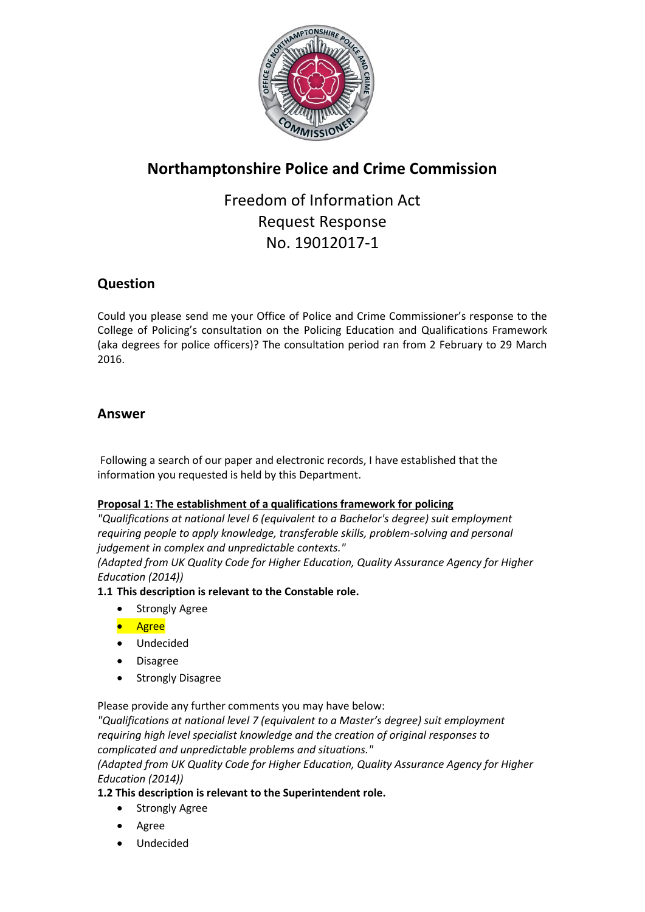

# **Northamptonshire Police and Crime Commission**

Freedom of Information Act Request Response No. 19012017-1

# **Question**

Could you please send me your Office of Police and Crime Commissioner's response to the College of Policing's consultation on the Policing Education and Qualifications Framework (aka degrees for police officers)? The consultation period ran from 2 February to 29 March 2016.

# **Answer**

Following a search of our paper and electronic records, I have established that the information you requested is held by this Department.

# **Proposal 1: The establishment of a qualifications framework for policing**

*"Qualifications at national level 6 (equivalent to a Bachelor's degree) suit employment requiring people to apply knowledge, transferable skills, problem-solving and personal judgement in complex and unpredictable contexts."* 

*(Adapted from UK Quality Code for Higher Education, Quality Assurance Agency for Higher Education (2014))*

# **1.1 This description is relevant to the Constable role.**

- Strongly Agree
- **•** Agree
- Undecided
- Disagree
- Strongly Disagree

Please provide any further comments you may have below:

*"Qualifications at national level 7 (equivalent to a Master's degree) suit employment requiring high level specialist knowledge and the creation of original responses to complicated and unpredictable problems and situations."* 

*(Adapted from UK Quality Code for Higher Education, Quality Assurance Agency for Higher Education (2014))*

# **1.2 This description is relevant to the Superintendent role.**

- Strongly Agree
- Agree
- Undecided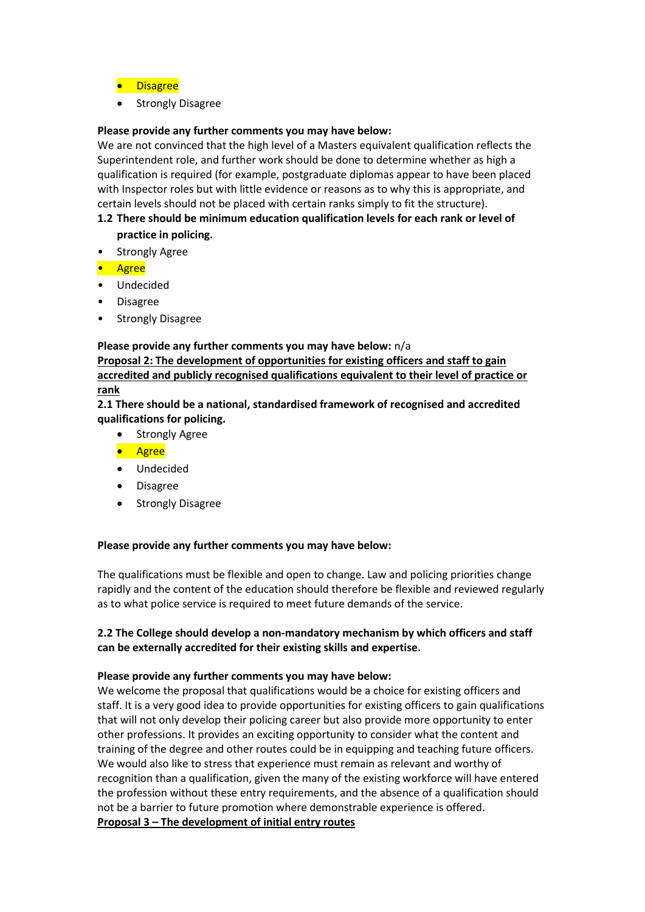- **•** Disagree
- Strongly Disagree

### **Please provide any further comments you may have below:**

We are not convinced that the high level of a Masters equivalent qualification reflects the Superintendent role, and further work should be done to determine whether as high a qualification is required (for example, postgraduate diplomas appear to have been placed with Inspector roles but with little evidence or reasons as to why this is appropriate, and certain levels should not be placed with certain ranks simply to fit the structure).

# **1.2 There should be minimum education qualification levels for each rank or level of practice in policing.**

- Strongly Agree
- Agree
- Undecided
- Disagree
- Strongly Disagree

#### **Please provide any further comments you may have below:** n/a

**Proposal 2: The development of opportunities for existing officers and staff to gain accredited and publicly recognised qualifications equivalent to their level of practice or rank**

**2.1 There should be a national, standardised framework of recognised and accredited qualifications for policing.**

- Strongly Agree
- **•** Agree
- Undecided
- Disagree
- Strongly Disagree

#### **Please provide any further comments you may have below:**

The qualifications must be flexible and open to change. Law and policing priorities change rapidly and the content of the education should therefore be flexible and reviewed regularly as to what police service is required to meet future demands of the service.

### **2.2 The College should develop a non-mandatory mechanism by which officers and staff can be externally accredited for their existing skills and expertise.**

#### **Please provide any further comments you may have below:**

We welcome the proposal that qualifications would be a choice for existing officers and staff. It is a very good idea to provide opportunities for existing officers to gain qualifications that will not only develop their policing career but also provide more opportunity to enter other professions. It provides an exciting opportunity to consider what the content and training of the degree and other routes could be in equipping and teaching future officers. We would also like to stress that experience must remain as relevant and worthy of recognition than a qualification, given the many of the existing workforce will have entered the profession without these entry requirements, and the absence of a qualification should not be a barrier to future promotion where demonstrable experience is offered. **Proposal 3 – The development of initial entry routes**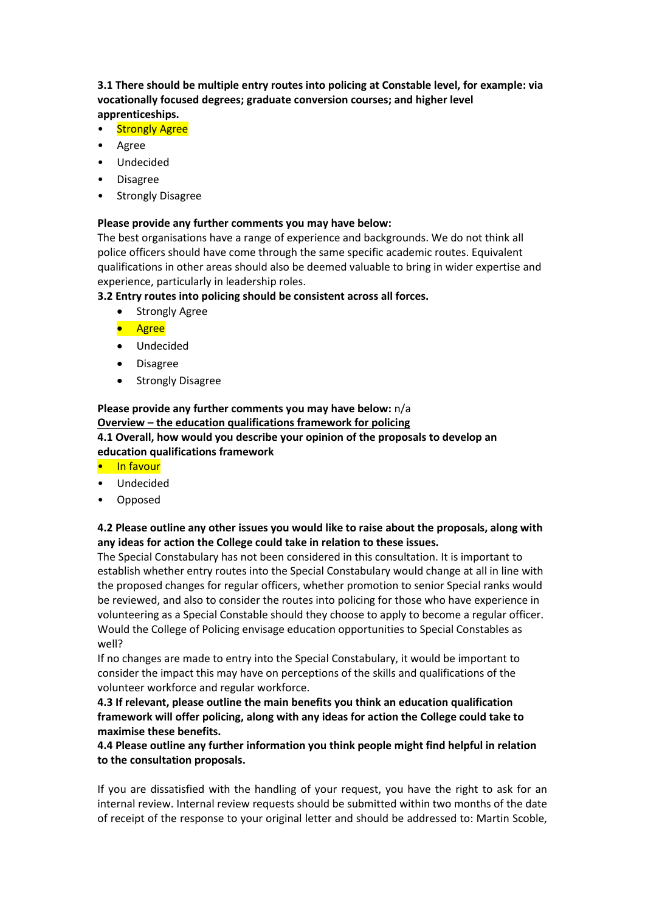**3.1 There should be multiple entry routes into policing at Constable level, for example: via vocationally focused degrees; graduate conversion courses; and higher level apprenticeships.**

- Strongly Agree
- Agree
- Undecided
- Disagree
- Strongly Disagree

### **Please provide any further comments you may have below:**

The best organisations have a range of experience and backgrounds. We do not think all police officers should have come through the same specific academic routes. Equivalent qualifications in other areas should also be deemed valuable to bring in wider expertise and experience, particularly in leadership roles.

### **3.2 Entry routes into policing should be consistent across all forces.**

- Strongly Agree
- **•** Agree
- Undecided
- Disagree
- Strongly Disagree

### **Please provide any further comments you may have below:** n/a **Overview – the education qualifications framework for policing 4.1 Overall, how would you describe your opinion of the proposals to develop an education qualifications framework**

- In favour
- Undecided
- Opposed

# **4.2 Please outline any other issues you would like to raise about the proposals, along with any ideas for action the College could take in relation to these issues.**

The Special Constabulary has not been considered in this consultation. It is important to establish whether entry routes into the Special Constabulary would change at all in line with the proposed changes for regular officers, whether promotion to senior Special ranks would be reviewed, and also to consider the routes into policing for those who have experience in volunteering as a Special Constable should they choose to apply to become a regular officer. Would the College of Policing envisage education opportunities to Special Constables as well?

If no changes are made to entry into the Special Constabulary, it would be important to consider the impact this may have on perceptions of the skills and qualifications of the volunteer workforce and regular workforce.

**4.3 If relevant, please outline the main benefits you think an education qualification framework will offer policing, along with any ideas for action the College could take to maximise these benefits.**

# **4.4 Please outline any further information you think people might find helpful in relation to the consultation proposals.**

If you are dissatisfied with the handling of your request, you have the right to ask for an internal review. Internal review requests should be submitted within two months of the date of receipt of the response to your original letter and should be addressed to: Martin Scoble,